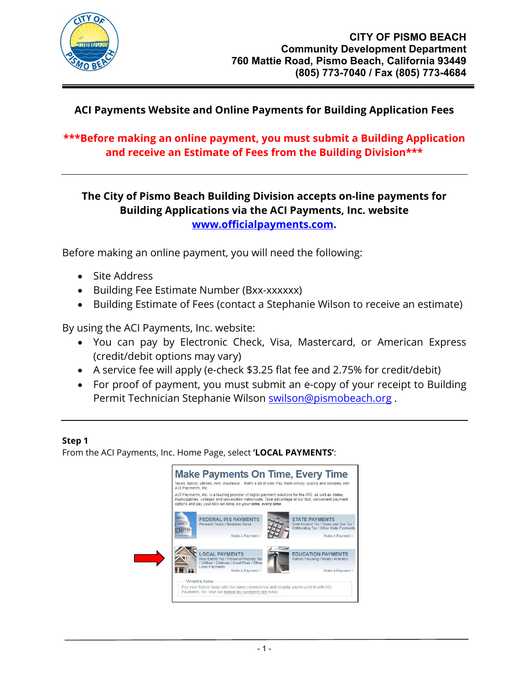

# **ACI Payments Website and Online Payments for Building Application Fees**

## **\*\*\*Before making an online payment, you must submit a Building Application and receive an Estimate of Fees from the Building Division\*\*\***

## **The City of Pismo Beach Building Division accepts on-line payments for Building Applications via the ACI Payments, Inc. website [www.officialpayments.com.](http://www.officialpayments.com/)**

Before making an online payment, you will need the following:

- Site Address
- Building Fee Estimate Number (Bxx-xxxxxx)
- Building Estimate of Fees (contact a Stephanie Wilson to receive an estimate)

By using the ACI Payments, Inc. website:

- You can pay by Electronic Check, Visa, Mastercard, or American Express (credit/debit options may vary)
- A service fee will apply (e-check \$3.25 flat fee and 2.75% for credit/debit)
- For proof of payment, you must submit an e-copy of your receipt to Building Permit Technician Stephanie Wilson [swilson@pismobeach.org](mailto:swilson@pismobeach.org).

### **Step 1**

From the ACI Payments, Inc. Home Page, select **'LOCAL PAYMENTS'**:

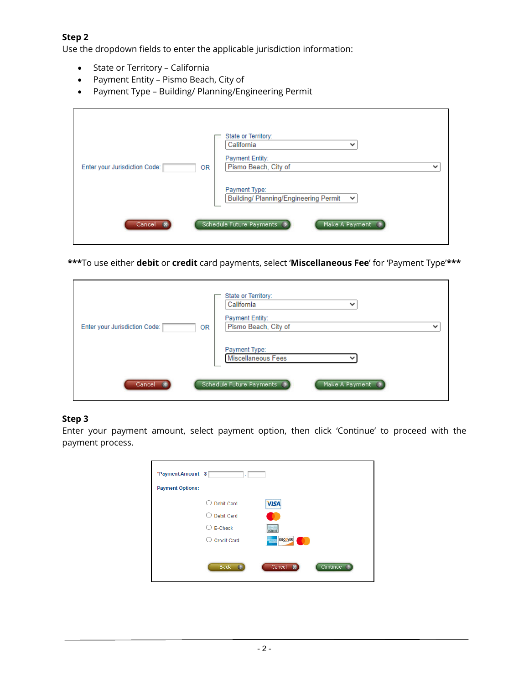#### **Step 2**

Use the dropdown fields to enter the applicable jurisdiction information:

- State or Territory California
- Payment Entity Pismo Beach, City of
- Payment Type Building/ Planning/Engineering Permit

| Enter your Jurisdiction Code:<br>0R | State or Territory:<br>California<br>$\checkmark$<br>Payment Entity:<br>Pismo Beach, City of<br>$\checkmark$<br>Payment Type:<br>Building/ Planning/Engineering Permit<br>$\checkmark$ |
|-------------------------------------|----------------------------------------------------------------------------------------------------------------------------------------------------------------------------------------|
| Cancel (X                           | Schedule Future Payments ><br>Make A Payment >                                                                                                                                         |

**\*\*\***To use either **debit** or **credit** card payments, select '**Miscellaneous Fee**' for 'Payment Type'**\*\*\***

| Enter your Jurisdiction Code:<br>0R | State or Territory:<br>California<br>$\checkmark$<br>Payment Entity:<br>Pismo Beach, City of<br>$\checkmark$<br>Payment Type:<br>Miscellaneous Fees |
|-------------------------------------|-----------------------------------------------------------------------------------------------------------------------------------------------------|
| Cancel X                            | Schedule Future Payments ><br>Make A Payment >                                                                                                      |

#### **Step 3**

Enter your payment amount, select payment option, then click 'Continue' to proceed with the payment process.

| *Payment Amount \$<br>÷ |                                      |
|-------------------------|--------------------------------------|
| <b>Payment Options:</b> |                                      |
| <b>Debit Card</b>       | <b>VISA</b>                          |
| <b>Debit Card</b>       |                                      |
| E-Check<br>○            | $e$ Check                            |
| <b>Credit Card</b>      | DISCOVER<br>1974                     |
|                         |                                      |
| Back                    | Cancel<br>Continue O<br>$\mathbf{z}$ |
|                         |                                      |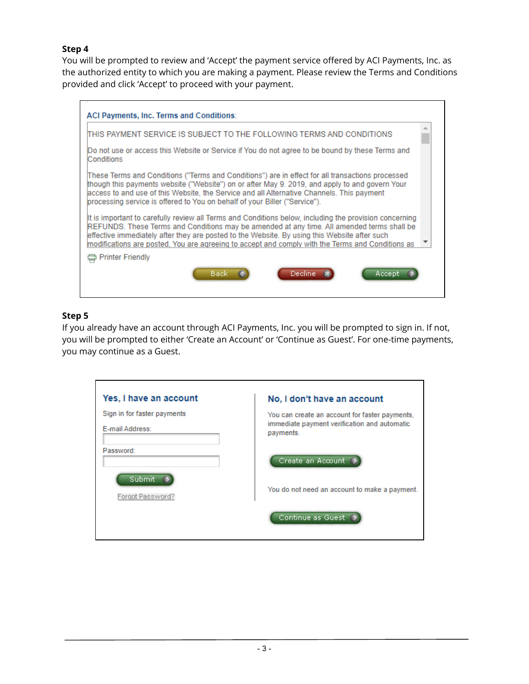### **Step 4**

You will be prompted to review and 'Accept' the payment service offered by ACI Payments, Inc. as the authorized entity to which you are making a payment. Please review the Terms and Conditions provided and click 'Accept' to proceed with your payment.

|                         |                                                                            | ITHIS PAYMENT SERVICE IS SUBJECT TO THE FOLLOWING TERMS AND CONDITIONS                                                                                                                                                                                                                                                                                                                                   |  |
|-------------------------|----------------------------------------------------------------------------|----------------------------------------------------------------------------------------------------------------------------------------------------------------------------------------------------------------------------------------------------------------------------------------------------------------------------------------------------------------------------------------------------------|--|
| Conditions              |                                                                            | Do not use or access this Website or Service if You do not agree to be bound by these Terms and                                                                                                                                                                                                                                                                                                          |  |
|                         | processing service is offered to You on behalf of your Biller ("Service"). | (These Terms and Conditions ("Terms and Conditions") are in effect for all transactions processed<br>though this payments website ("Website") on or after May 9. 2019, and apply to and govern Your<br>laccess to and use of this Website, the Service and all Alternative Channels. This payment                                                                                                        |  |
|                         |                                                                            | It is important to carefully review all Terms and Conditions below, including the provision concerning<br>REFUNDS. These Terms and Conditions may be amended at any time. All amended terms shall be<br>effective immediately after they are posted to the Website. By using this Website after such<br>modifications are posted. You are agreeing to accept and comply with the Terms and Conditions as |  |
| <b>Printer Friendly</b> |                                                                            |                                                                                                                                                                                                                                                                                                                                                                                                          |  |

#### **Step 5**

If you already have an account through ACI Payments, Inc. you will be prompted to sign in. If not, you will be prompted to either 'Create an Account' or 'Continue as Guest'. For one-time payments, you may continue as a Guest.

| Yes, I have an account                         | No, I don't have an account                                                                                 |
|------------------------------------------------|-------------------------------------------------------------------------------------------------------------|
| Sign in for faster payments<br>E-mail Address: | You can create an account for faster payments,<br>immediate payment verification and automatic<br>payments. |
| Password:<br>Submit                            | Create an Account                                                                                           |
| Forgot Password?                               | You do not need an account to make a payment.                                                               |
|                                                | Continue as Guest                                                                                           |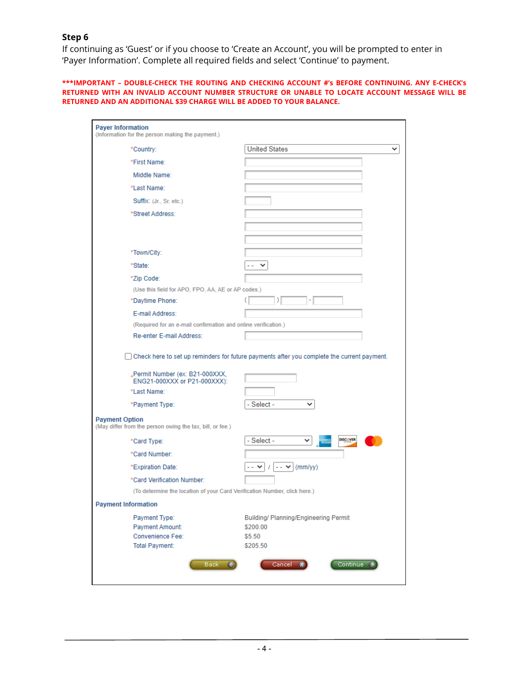#### **Step 6**

If continuing as 'Guest' or if you choose to 'Create an Account', you will be prompted to enter in 'Payer Information'. Complete all required fields and select 'Continue' to payment.

**\*\*\*IMPORTANT – DOUBLE-CHECK THE ROUTING AND CHECKING ACCOUNT #'s BEFORE CONTINUING. ANY E-CHECK's RETURNED WITH AN INVALID ACCOUNT NUMBER STRUCTURE OR UNABLE TO LOCATE ACCOUNT MESSAGE WILL BE RETURNED AND AN ADDITIONAL \$39 CHARGE WILL BE ADDED TO YOUR BALANCE.**

| <b>Payer Information</b><br>(Information for the person making the payment.)                                                  |                                       |  |  |
|-------------------------------------------------------------------------------------------------------------------------------|---------------------------------------|--|--|
| *Country:                                                                                                                     | <b>United States</b>                  |  |  |
| *First Name:                                                                                                                  |                                       |  |  |
| Middle Name:                                                                                                                  |                                       |  |  |
| *Last Name:                                                                                                                   |                                       |  |  |
| Suffix: (Jr., Sr. etc.)                                                                                                       |                                       |  |  |
| *Street Address:                                                                                                              |                                       |  |  |
|                                                                                                                               |                                       |  |  |
|                                                                                                                               |                                       |  |  |
| *Town/City:                                                                                                                   |                                       |  |  |
| *State:                                                                                                                       | -- v                                  |  |  |
| *Zip Code:                                                                                                                    |                                       |  |  |
| (Use this field for APO, FPO, AA, AE or AP codes.)                                                                            |                                       |  |  |
| *Daytime Phone:                                                                                                               |                                       |  |  |
| E-mail Address:                                                                                                               |                                       |  |  |
| (Required for an e-mail confirmation and online verification.)                                                                |                                       |  |  |
| Re-enter E-mail Address:                                                                                                      |                                       |  |  |
| Check here to set up reminders for future payments after you complete the current payment.<br>"Permit Number (ex: B21-000XXX, |                                       |  |  |
| ENG21-000XXX or P21-000XXX):<br>*Last Name:                                                                                   |                                       |  |  |
|                                                                                                                               | - Select -<br>◡                       |  |  |
| *Payment Type:                                                                                                                |                                       |  |  |
| <b>Payment Option</b><br>(May differ from the person owing the tax, bill, or fee.)                                            |                                       |  |  |
| *Card Type:                                                                                                                   | DISCOVER<br>- Select -<br>∽⊟          |  |  |
| *Card Number:                                                                                                                 |                                       |  |  |
| *Expiration Date:                                                                                                             | (mm/yy)<br>-- v 1 -- v                |  |  |
| *Card Verification Number:                                                                                                    |                                       |  |  |
| (To determine the location of your Card Verification Number, click here.)                                                     |                                       |  |  |
| <b>Payment Information</b>                                                                                                    |                                       |  |  |
| Payment Type:                                                                                                                 | Building/ Planning/Engineering Permit |  |  |
| Payment Amount:<br><b>Convenience Fee:</b>                                                                                    | \$200.00<br>\$5.50                    |  |  |
| <b>Total Payment:</b>                                                                                                         | \$205.50                              |  |  |
| Back -                                                                                                                        | Cancel<br>Continue                    |  |  |